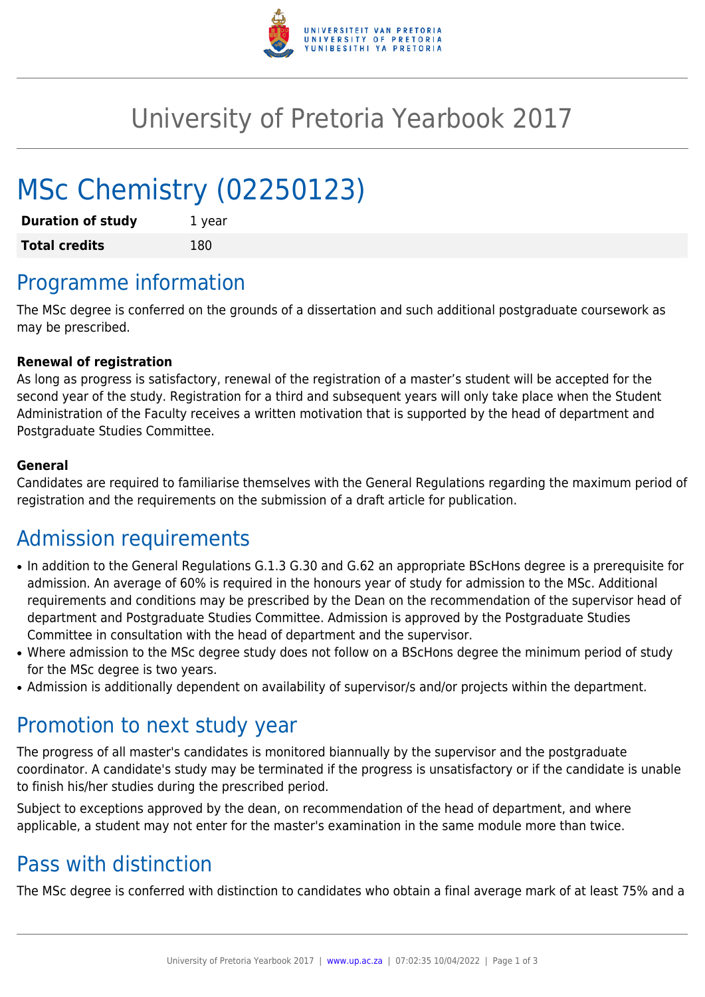

## University of Pretoria Yearbook 2017

# MSc Chemistry (02250123)

| <b>Duration of study</b> | 1 year |
|--------------------------|--------|
| <b>Total credits</b>     | 180    |

### Programme information

The MSc degree is conferred on the grounds of a dissertation and such additional postgraduate coursework as may be prescribed.

#### **Renewal of registration**

As long as progress is satisfactory, renewal of the registration of a master's student will be accepted for the second year of the study. Registration for a third and subsequent years will only take place when the Student Administration of the Faculty receives a written motivation that is supported by the head of department and Postgraduate Studies Committee.

#### **General**

Candidates are required to familiarise themselves with the General Regulations regarding the maximum period of registration and the requirements on the submission of a draft article for publication.

### Admission requirements

- In addition to the General Regulations G.1.3 G.30 and G.62 an appropriate BScHons degree is a prerequisite for admission. An average of 60% is required in the honours year of study for admission to the MSc. Additional requirements and conditions may be prescribed by the Dean on the recommendation of the supervisor head of department and Postgraduate Studies Committee. Admission is approved by the Postgraduate Studies Committee in consultation with the head of department and the supervisor.
- Where admission to the MSc degree study does not follow on a BScHons degree the minimum period of study for the MSc degree is two years.
- Admission is additionally dependent on availability of supervisor/s and/or projects within the department.

#### Promotion to next study year

The progress of all master's candidates is monitored biannually by the supervisor and the postgraduate coordinator. A candidate's study may be terminated if the progress is unsatisfactory or if the candidate is unable to finish his/her studies during the prescribed period.

Subject to exceptions approved by the dean, on recommendation of the head of department, and where applicable, a student may not enter for the master's examination in the same module more than twice.

### Pass with distinction

The MSc degree is conferred with distinction to candidates who obtain a final average mark of at least 75% and a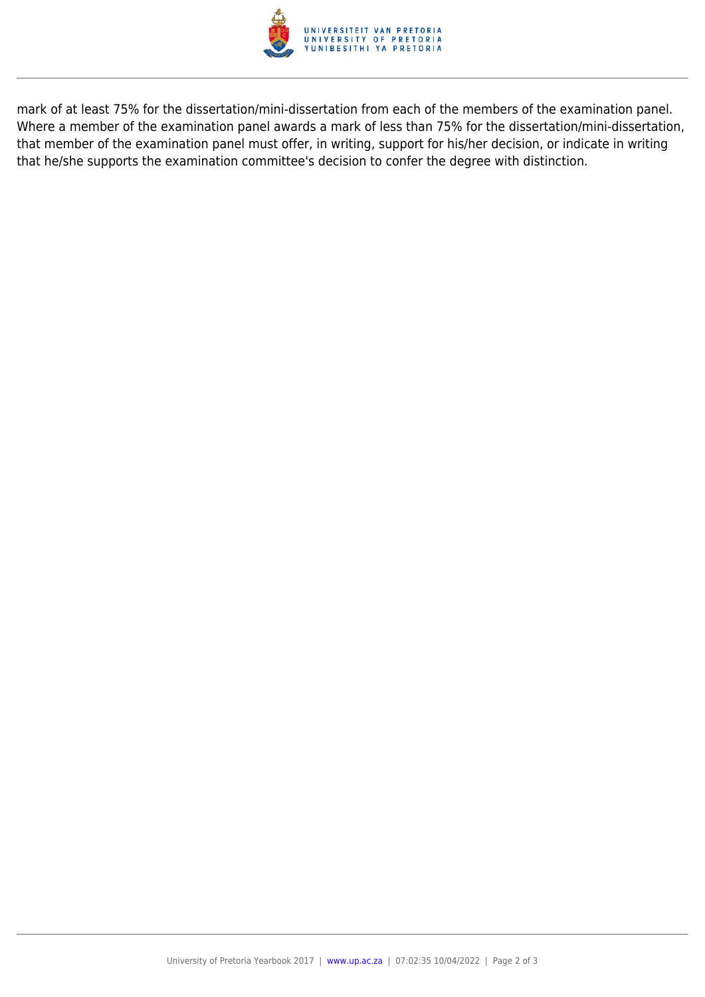

mark of at least 75% for the dissertation/mini-dissertation from each of the members of the examination panel. Where a member of the examination panel awards a mark of less than 75% for the dissertation/mini-dissertation, that member of the examination panel must offer, in writing, support for his/her decision, or indicate in writing that he/she supports the examination committee's decision to confer the degree with distinction.